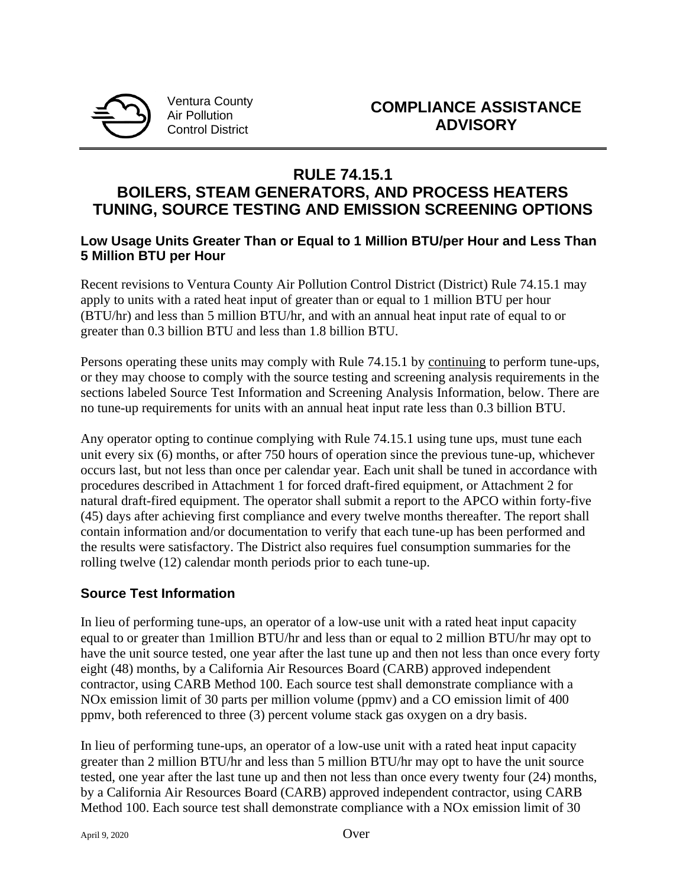

Ventura County Air Pollution Control District

# **RULE 74.15.1**

# **BOILERS, STEAM GENERATORS, AND PROCESS HEATERS TUNING, SOURCE TESTING AND EMISSION SCREENING OPTIONS**

#### **Low Usage Units Greater Than or Equal to 1 Million BTU/per Hour and Less Than 5 Million BTU per Hour**

Recent revisions to Ventura County Air Pollution Control District (District) Rule 74.15.1 may apply to units with a rated heat input of greater than or equal to 1 million BTU per hour (BTU/hr) and less than 5 million BTU/hr, and with an annual heat input rate of equal to or greater than 0.3 billion BTU and less than 1.8 billion BTU.

Persons operating these units may comply with Rule 74.15.1 by continuing to perform tune-ups, or they may choose to comply with the source testing and screening analysis requirements in the sections labeled Source Test Information and Screening Analysis Information, below. There are no tune-up requirements for units with an annual heat input rate less than 0.3 billion BTU.

Any operator opting to continue complying with Rule 74.15.1 using tune ups, must tune each unit every six (6) months, or after 750 hours of operation since the previous tune-up, whichever occurs last, but not less than once per calendar year. Each unit shall be tuned in accordance with procedures described in Attachment 1 for forced draft-fired equipment, or Attachment 2 for natural draft-fired equipment. The operator shall submit a report to the APCO within forty-five (45) days after achieving first compliance and every twelve months thereafter. The report shall contain information and/or documentation to verify that each tune-up has been performed and the results were satisfactory. The District also requires fuel consumption summaries for the rolling twelve (12) calendar month periods prior to each tune-up.

### **Source Test Information**

In lieu of performing tune-ups, an operator of a low-use unit with a rated heat input capacity equal to or greater than 1million BTU/hr and less than or equal to 2 million BTU/hr may opt to have the unit source tested, one year after the last tune up and then not less than once every forty eight (48) months, by a California Air Resources Board (CARB) approved independent contractor, using CARB Method 100. Each source test shall demonstrate compliance with a NOx emission limit of 30 parts per million volume (ppmv) and a CO emission limit of 400 ppmv, both referenced to three (3) percent volume stack gas oxygen on a dry basis.

In lieu of performing tune-ups, an operator of a low-use unit with a rated heat input capacity greater than 2 million BTU/hr and less than 5 million BTU/hr may opt to have the unit source tested, one year after the last tune up and then not less than once every twenty four (24) months, by a California Air Resources Board (CARB) approved independent contractor, using CARB Method 100. Each source test shall demonstrate compliance with a NOx emission limit of 30